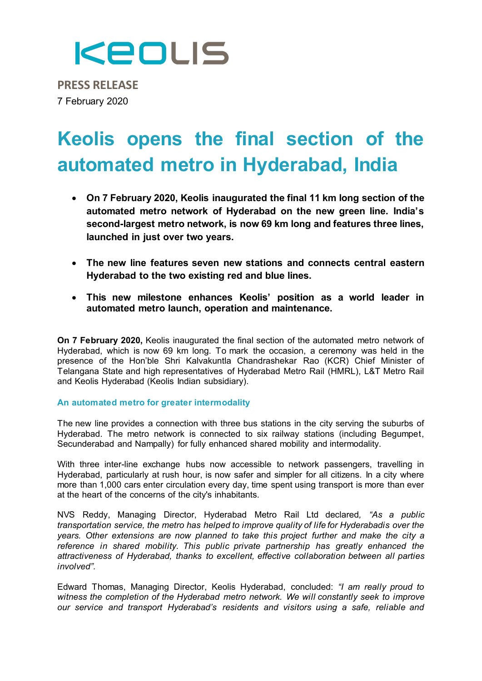

**PRESS RELEASE** 7 February 2020

## **Keolis opens the final section of the automated metro in Hyderabad, India**

- **On 7 February 2020, Keolis inaugurated the final 11 km long section of the automated metro network of Hyderabad on the new green line. India's second-largest metro network, is now 69 km long and features three lines, launched in just over two years.**
- **The new line features seven new stations and connects central eastern Hyderabad to the two existing red and blue lines.**
- **This new milestone enhances Keolis' position as a world leader in automated metro launch, operation and maintenance.**

**On 7 February 2020,** Keolis inaugurated the final section of the automated metro network of Hyderabad, which is now 69 km long. To mark the occasion, a ceremony was held in the presence of the Hon'ble Shri Kalvakuntla Chandrashekar Rao (KCR) Chief Minister of Telangana State and high representatives of Hyderabad Metro Rail (HMRL), L&T Metro Rail and Keolis Hyderabad (Keolis Indian subsidiary).

#### **An automated metro for greater intermodality**

The new line provides a connection with three bus stations in the city serving the suburbs of Hyderabad. The metro network is connected to six railway stations (including Begumpet, Secunderabad and Nampally) for fully enhanced shared mobility and intermodality.

With three inter-line exchange hubs now accessible to network passengers, travelling in Hyderabad, particularly at rush hour, is now safer and simpler for all citizens. In a city where more than 1,000 cars enter circulation every day, time spent using transport is more than ever at the heart of the concerns of the city's inhabitants.

NVS Reddy, Managing Director, Hyderabad Metro Rail Ltd declared*, "As a public transportation service, the metro has helped to improve quality of life for Hyderabadis over the years. Other extensions are now planned to take this project further and make the city a reference in shared mobility. This public private partnership has greatly enhanced the attractiveness of Hyderabad, thanks to excellent, effective collaboration between all parties involved".*

Edward Thomas, Managing Director, Keolis Hyderabad, concluded: *"I am really proud to witness the completion of the Hyderabad metro network. We will constantly seek to improve our service and transport Hyderabad's residents and visitors using a safe, reliable and*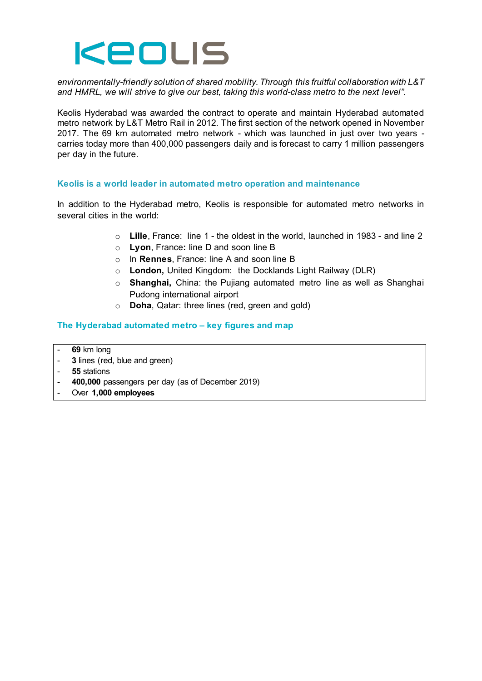

*environmentally-friendly solution of shared mobility. Through this fruitful collaboration with L&T and HMRL, we will strive to give our best, taking this world-class metro to the next level".*

Keolis Hyderabad was awarded the contract to operate and maintain Hyderabad automated metro network by L&T Metro Rail in 2012. The first section of the network opened in November 2017. The 69 km automated metro network - which was launched in just over two years carries today more than 400,000 passengers daily and is forecast to carry 1 million passengers per day in the future.

#### **Keolis is a world leader in automated metro operation and maintenance**

In addition to the Hyderabad metro, Keolis is responsible for automated metro networks in several cities in the world:

- o **Lille**, France: line 1 the oldest in the world, launched in 1983 and line 2
- o **Lyon**, France**:** line D and soon line B
- o In **Rennes**, France: line A and soon line B
- o **London,** United Kingdom: the Docklands Light Railway (DLR)
- o **Shanghai,** China: the Pujiang automated metro line as well as Shanghai Pudong international airport
- o **Doha**, Qatar: three lines (red, green and gold)

#### **The Hyderabad automated metro – key figures and map**

- **69** km long
- **3** lines (red, blue and green)
- **55** stations
- **400,000** passengers per day (as of December 2019)
- Over **1,000 employees**